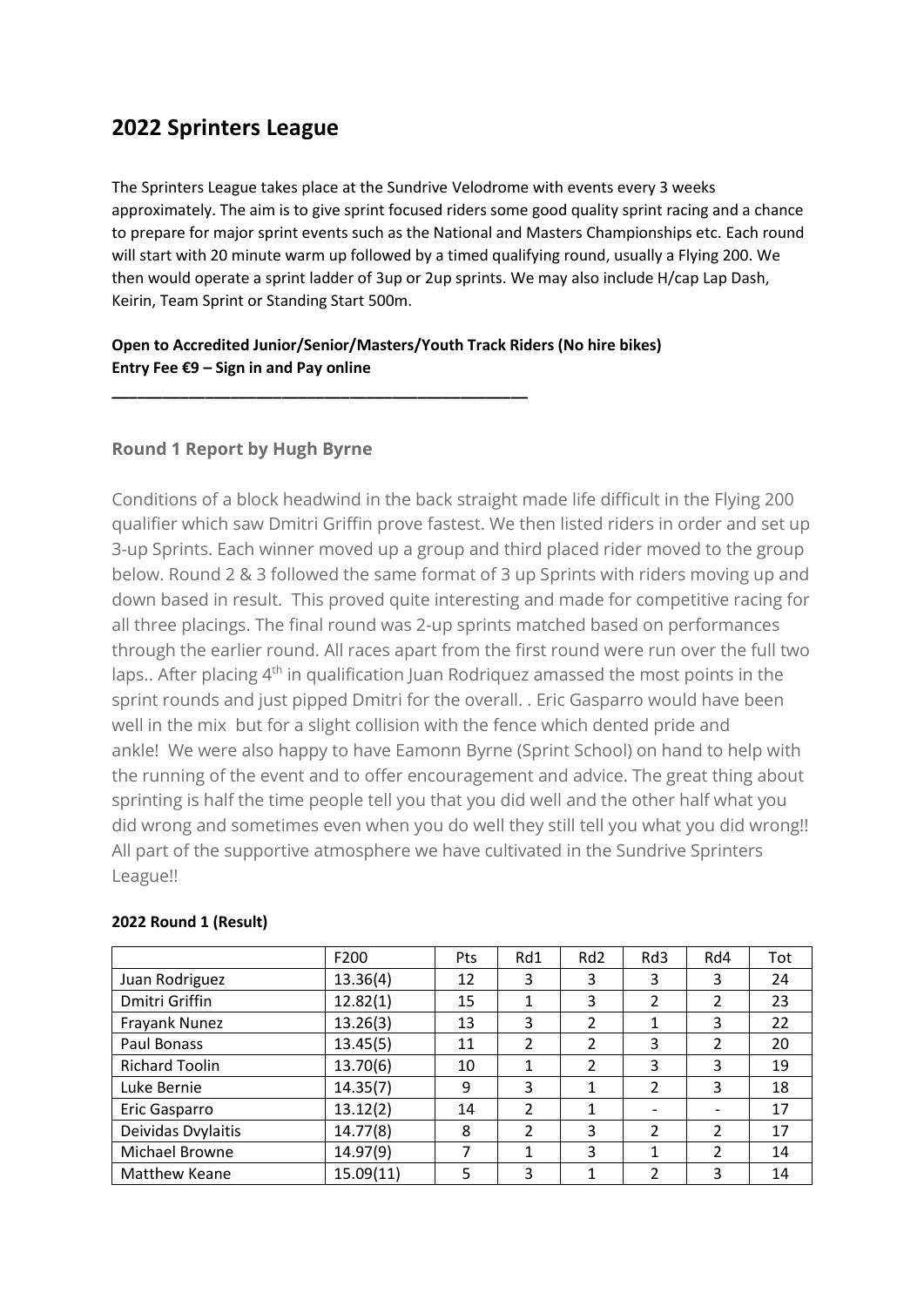## **2022 Sprinters League**

The Sprinters League takes place at the Sundrive Velodrome with events every 3 weeks approximately. The aim is to give sprint focused riders some good quality sprint racing and a chance to prepare for major sprint events such as the National and Masters Championships etc. Each round will start with 20 minute warm up followed by a timed qualifying round, usually a Flying 200. We then would operate a sprint ladder of 3up or 2up sprints. We may also include H/cap Lap Dash, Keirin, Team Sprint or Standing Start 500m.

## **Open to Accredited Junior/Senior/Masters/Youth Track Riders (No hire bikes) Entry Fee €9 – Sign in and Pay online**

**\_\_\_\_\_\_\_\_\_\_\_\_\_\_\_\_\_\_\_\_\_\_\_\_\_\_\_\_\_\_\_\_\_\_\_\_\_\_\_\_\_\_\_\_\_\_\_\_\_**

## **Round 1 Report by Hugh Byrne**

Conditions of a block headwind in the back straight made life difficult in the Flying 200 qualifier which saw Dmitri Griffin prove fastest. We then listed riders in order and set up 3-up Sprints. Each winner moved up a group and third placed rider moved to the group below. Round 2 & 3 followed the same format of 3 up Sprints with riders moving up and down based in result. This proved quite interesting and made for competitive racing for all three placings. The final round was 2-up sprints matched based on performances through the earlier round. All races apart from the first round were run over the full two laps.. After placing 4<sup>th</sup> in qualification Juan Rodriquez amassed the most points in the sprint rounds and just pipped Dmitri for the overall. . Eric Gasparro would have been well in the mix but for a slight collision with the fence which dented pride and ankle! We were also happy to have Eamonn Byrne (Sprint School) on hand to help with the running of the event and to offer encouragement and advice. The great thing about sprinting is half the time people tell you that you did well and the other half what you did wrong and sometimes even when you do well they still tell you what you did wrong!! All part of the supportive atmosphere we have cultivated in the Sundrive Sprinters League!!

|                       | F200      | Pts | Rd1            | Rd <sub>2</sub>          | Rd3            | Rd4            | Tot |
|-----------------------|-----------|-----|----------------|--------------------------|----------------|----------------|-----|
| Juan Rodriguez        | 13.36(4)  | 12  | 3              | 3                        | 3              | 3              | 24  |
| Dmitri Griffin        | 12.82(1)  | 15  | 1              | 3                        | 2              | 2              | 23  |
| Frayank Nunez         | 13.26(3)  | 13  | 3              | $\overline{\mathcal{L}}$ | 1              | 3              | 22  |
| Paul Bonass           | 13.45(5)  | 11  | $\mathfrak{p}$ | $\overline{\mathcal{L}}$ | 3              | 2              | 20  |
| <b>Richard Toolin</b> | 13.70(6)  | 10  | 1              | 2                        | 3              | 3              | 19  |
| Luke Bernie           | 14.35(7)  | 9   | 3              | 1                        | $\overline{2}$ | 3              | 18  |
| Eric Gasparro         | 13.12(2)  | 14  | $\mathfrak z$  | 1                        |                |                | 17  |
| Deividas Dvylaitis    | 14.77(8)  | 8   | 2              | 3                        | 2              | 2              | 17  |
| Michael Browne        | 14.97(9)  | 7   | 1              | 3                        | 1              | $\mathfrak{p}$ | 14  |
| <b>Matthew Keane</b>  | 15.09(11) | 5   | 3              | 1                        | $\mathcal{P}$  | 3              | 14  |

#### **2022 Round 1 (Result)**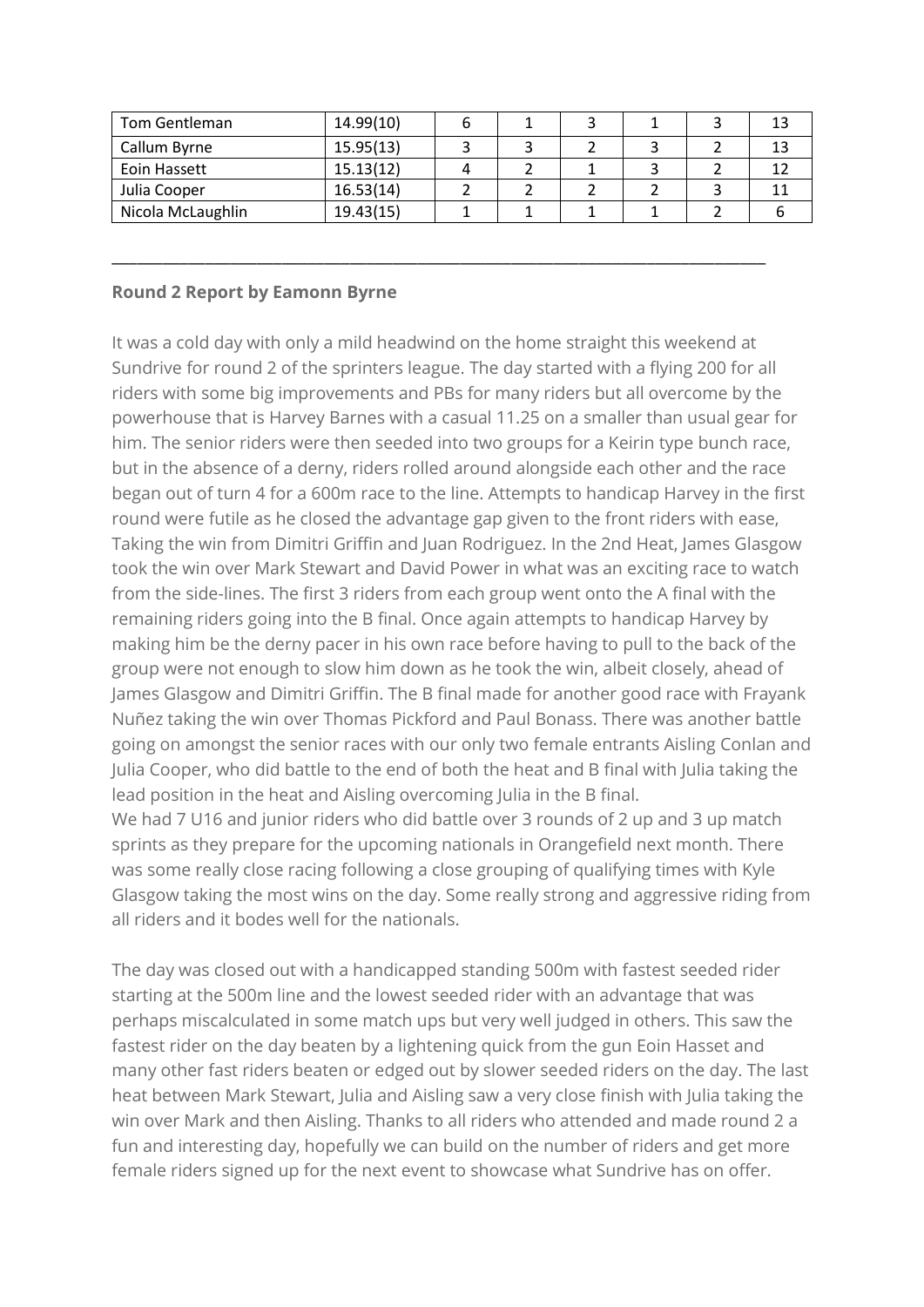| Tom Gentleman     | 14.99(10) |  |  | 13 |
|-------------------|-----------|--|--|----|
| Callum Byrne      | 15.95(13) |  |  | 13 |
| Eoin Hassett      | 15.13(12) |  |  | 12 |
| Julia Cooper      | 16.53(14) |  |  | 11 |
| Nicola McLaughlin | 19.43(15) |  |  |    |

\_\_\_\_\_\_\_\_\_\_\_\_\_\_\_\_\_\_\_\_\_\_\_\_\_\_\_\_\_\_\_\_\_\_\_\_\_\_\_\_\_\_\_\_\_\_\_\_\_\_\_\_\_\_\_\_\_\_\_\_\_\_\_\_\_\_\_\_\_\_\_\_\_\_\_\_\_

## **Round 2 Report by Eamonn Byrne**

all riders and it bodes well for the nationals.

It was a cold day with only a mild headwind on the home straight this weekend at Sundrive for round 2 of the sprinters league. The day started with a flying 200 for all riders with some big improvements and PBs for many riders but all overcome by the powerhouse that is Harvey Barnes with a casual 11.25 on a smaller than usual gear for him. The senior riders were then seeded into two groups for a Keirin type bunch race, but in the absence of a derny, riders rolled around alongside each other and the race began out of turn 4 for a 600m race to the line. Attempts to handicap Harvey in the first round were futile as he closed the advantage gap given to the front riders with ease, Taking the win from Dimitri Griffin and Juan Rodriguez. In the 2nd Heat, James Glasgow took the win over Mark Stewart and David Power in what was an exciting race to watch from the side-lines. The first 3 riders from each group went onto the A final with the remaining riders going into the B final. Once again attempts to handicap Harvey by making him be the derny pacer in his own race before having to pull to the back of the group were not enough to slow him down as he took the win, albeit closely, ahead of James Glasgow and Dimitri Griffin. The B final made for another good race with Frayank Nuñez taking the win over Thomas Pickford and Paul Bonass. There was another battle going on amongst the senior races with our only two female entrants Aisling Conlan and Julia Cooper, who did battle to the end of both the heat and B final with Julia taking the lead position in the heat and Aisling overcoming Julia in the B final. We had 7 U16 and junior riders who did battle over 3 rounds of 2 up and 3 up match sprints as they prepare for the upcoming nationals in Orangefield next month. There was some really close racing following a close grouping of qualifying times with Kyle Glasgow taking the most wins on the day. Some really strong and aggressive riding from

The day was closed out with a handicapped standing 500m with fastest seeded rider starting at the 500m line and the lowest seeded rider with an advantage that was perhaps miscalculated in some match ups but very well judged in others. This saw the fastest rider on the day beaten by a lightening quick from the gun Eoin Hasset and many other fast riders beaten or edged out by slower seeded riders on the day. The last heat between Mark Stewart, Julia and Aisling saw a very close finish with Julia taking the win over Mark and then Aisling. Thanks to all riders who attended and made round 2 a fun and interesting day, hopefully we can build on the number of riders and get more female riders signed up for the next event to showcase what Sundrive has on offer.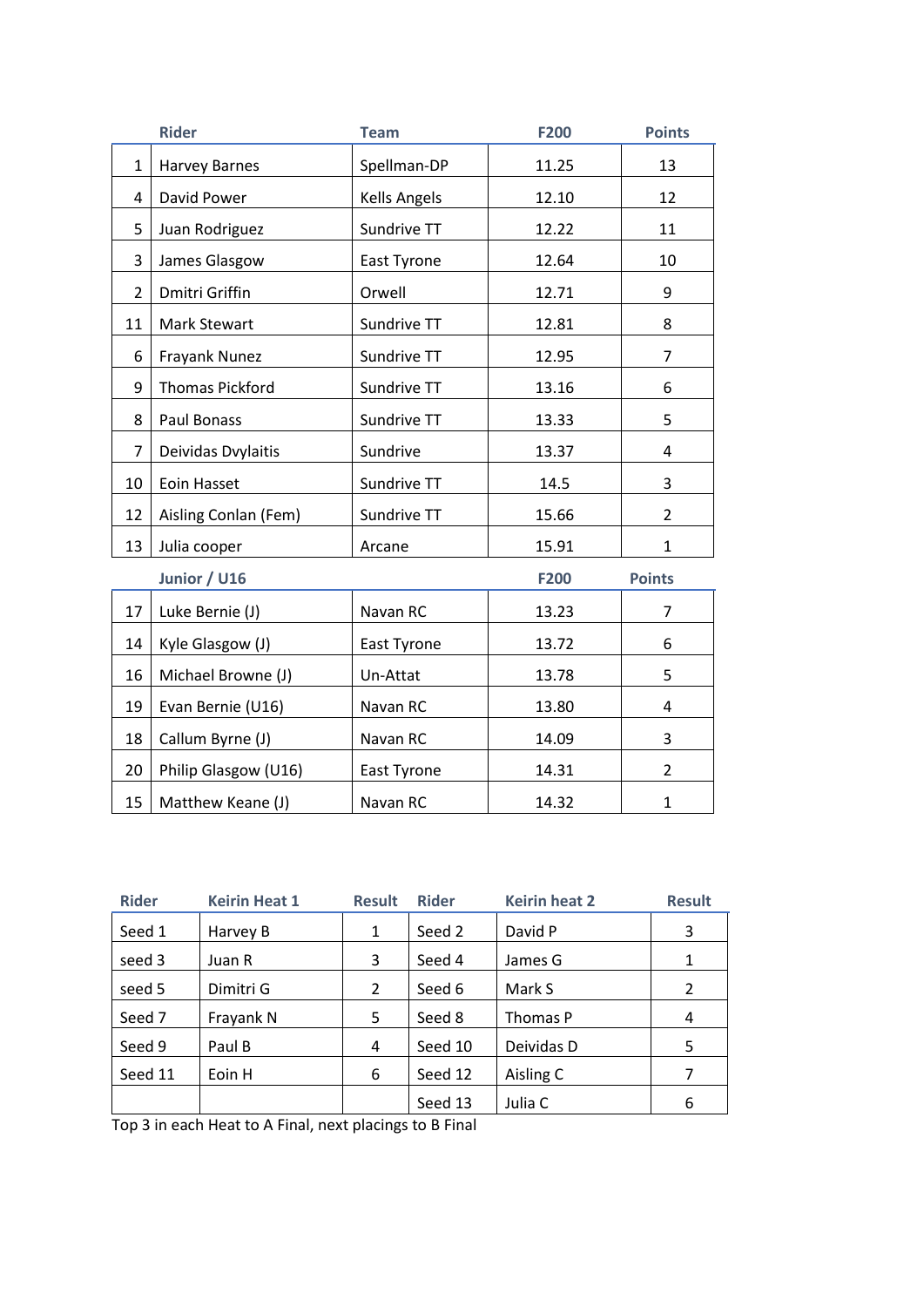|                | <b>Rider</b>           | <b>Team</b>  | F200        | <b>Points</b>  |
|----------------|------------------------|--------------|-------------|----------------|
| $\mathbf{1}$   | <b>Harvey Barnes</b>   | Spellman-DP  | 11.25       | 13             |
| 4              | David Power            | Kells Angels | 12.10       | 12             |
| 5              | Juan Rodriguez         | Sundrive TT  | 12.22       | 11             |
| 3              | James Glasgow          | East Tyrone  | 12.64       | 10             |
| $\overline{2}$ | Dmitri Griffin         | Orwell       | 12.71       | 9              |
| 11             | Mark Stewart           | Sundrive TT  | 12.81       | 8              |
| 6              | Frayank Nunez          | Sundrive TT  | 12.95       | 7              |
| 9              | <b>Thomas Pickford</b> | Sundrive TT  | 13.16       | 6              |
| 8              | Paul Bonass            | Sundrive TT  | 13.33       | 5              |
| $\overline{7}$ | Deividas Dvylaitis     | Sundrive     | 13.37       | 4              |
| 10             | Eoin Hasset            | Sundrive TT  | 14.5        | 3              |
| 12             | Aisling Conlan (Fem)   | Sundrive TT  | 15.66       | $\overline{2}$ |
| 13             | Julia cooper           | Arcane       | 15.91       | $\mathbf{1}$   |
|                | Junior / U16           |              | <b>F200</b> | <b>Points</b>  |
| 17             | Luke Bernie (J)        | Navan RC     | 13.23       | 7              |
| 14             | Kyle Glasgow (J)       | East Tyrone  | 13.72       | 6              |
| 16             | Michael Browne (J)     | Un-Attat     | 13.78       | 5              |
| 19             | Evan Bernie (U16)      | Navan RC     | 13.80       | 4              |
| 18             | Callum Byrne (J)       | Navan RC     | 14.09       | 3              |
| 20             | Philip Glasgow (U16)   | East Tyrone  | 14.31       | $\overline{2}$ |
| 15             | Matthew Keane (J)      | Navan RC     | 14.32       | $\mathbf{1}$   |

| <b>Rider</b> | <b>Keirin Heat 1</b> | <b>Result</b> | <b>Rider</b> | <b>Keirin heat 2</b> | <b>Result</b> |
|--------------|----------------------|---------------|--------------|----------------------|---------------|
| Seed 1       | Harvey B             | 1             | Seed 2       | David P              | 3             |
| seed 3       | Juan R               | 3             | Seed 4       | James G              |               |
| seed 5       | Dimitri G            | 2             | Seed 6       | Mark S               | 2             |
| Seed 7       | Frayank N            | 5             | Seed 8       | Thomas P             | 4             |
| Seed 9       | Paul B               | 4             | Seed 10      | Deividas D           | 5             |
| Seed 11      | Eoin H               | 6             | Seed 12      | Aisling C            | 7             |
|              |                      |               | Seed 13      | Julia C              | 6             |

Top 3 in each Heat to A Final, next placings to B Final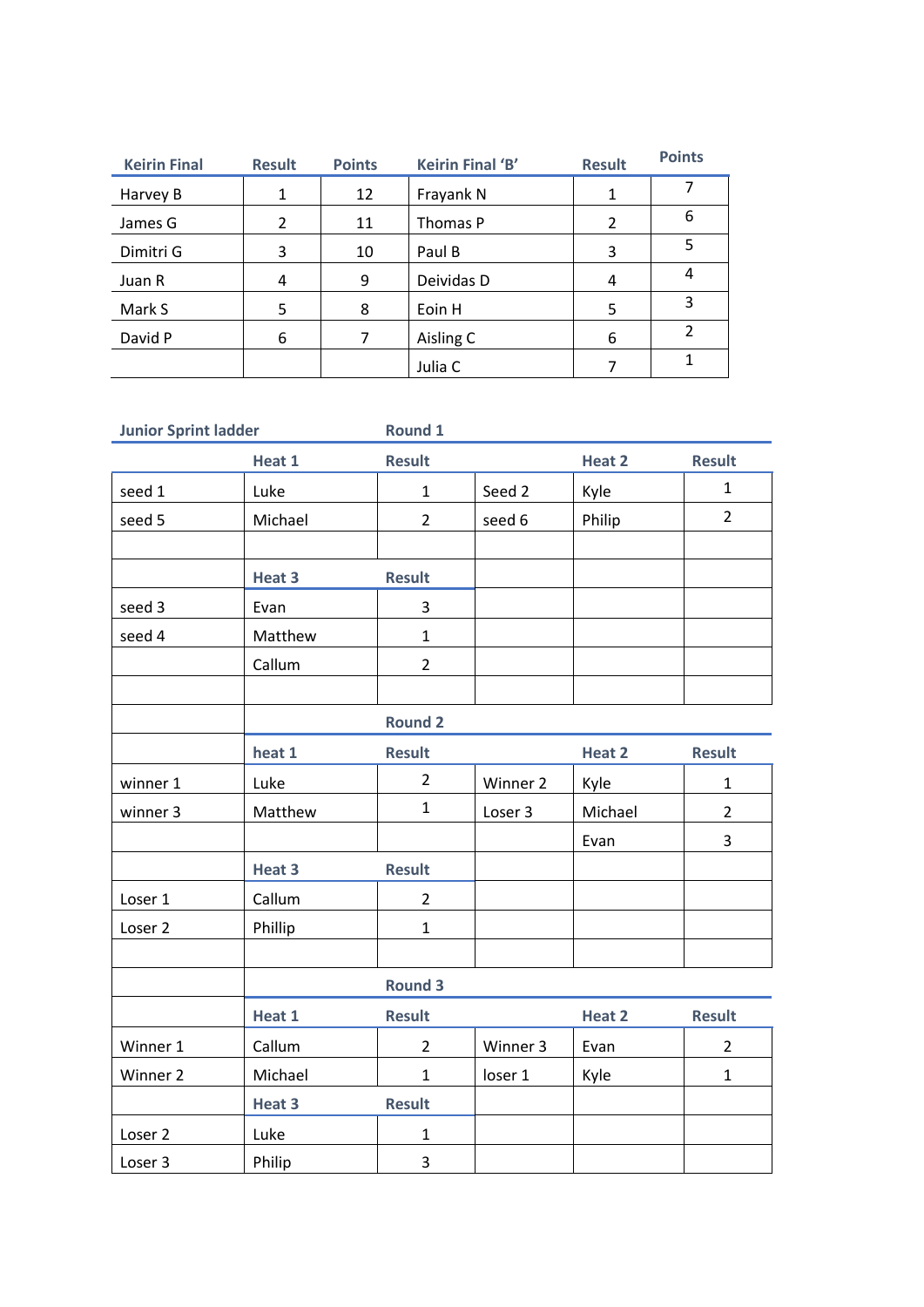| <b>Keirin Final</b> | <b>Result</b> | <b>Points</b> | Keirin Final 'B' | <b>Result</b> | <b>Points</b> |
|---------------------|---------------|---------------|------------------|---------------|---------------|
| Harvey B            | 1             | 12            | Frayank N        |               |               |
| James G             | $\mathcal{P}$ | 11            | Thomas P         | 2             | 6             |
| Dimitri G           | 3             | 10            | Paul B           | 3             | 5             |
| Juan R              | 4             | 9             | Deividas D       | 4             | 4             |
| Mark S              | 5             | 8             | Eoin H           | 5             | 3             |
| David P             | 6             | 7             | Aisling C        | 6             | $\mathcal{P}$ |
|                     |               |               | Julia C          |               | 1             |

| <b>Junior Sprint ladder</b> |         | Round 1        |          |         |                |
|-----------------------------|---------|----------------|----------|---------|----------------|
|                             | Heat 1  | <b>Result</b>  |          | Heat 2  | <b>Result</b>  |
| seed 1                      | Luke    | $\mathbf{1}$   | Seed 2   | Kyle    | $\mathbf{1}$   |
| seed 5                      | Michael | $\overline{2}$ | seed 6   | Philip  | $\overline{2}$ |
|                             |         |                |          |         |                |
|                             | Heat 3  | <b>Result</b>  |          |         |                |
| seed 3                      | Evan    | 3              |          |         |                |
| seed 4                      | Matthew | $\mathbf{1}$   |          |         |                |
|                             | Callum  | $\overline{2}$ |          |         |                |
|                             |         |                |          |         |                |
|                             |         | <b>Round 2</b> |          |         |                |
|                             | heat 1  | <b>Result</b>  |          | Heat 2  | <b>Result</b>  |
| winner 1                    | Luke    | $\overline{2}$ | Winner 2 | Kyle    | $\mathbf{1}$   |
| winner 3                    | Matthew | $\mathbf{1}$   | Loser 3  | Michael | $\overline{2}$ |
|                             |         |                |          | Evan    | 3              |
|                             | Heat 3  | <b>Result</b>  |          |         |                |
| Loser 1                     | Callum  | $\overline{2}$ |          |         |                |
| Loser <sub>2</sub>          | Phillip | $\mathbf{1}$   |          |         |                |
|                             |         |                |          |         |                |
|                             |         | <b>Round 3</b> |          |         |                |
|                             | Heat 1  | <b>Result</b>  |          | Heat 2  | <b>Result</b>  |
| Winner 1                    | Callum  | $\overline{2}$ | Winner 3 | Evan    | $\overline{2}$ |
| Winner 2                    | Michael | $\mathbf{1}$   | loser 1  | Kyle    | $\mathbf{1}$   |
|                             | Heat 3  | <b>Result</b>  |          |         |                |
| Loser 2                     | Luke    | $\mathbf{1}$   |          |         |                |
| Loser 3                     | Philip  | 3              |          |         |                |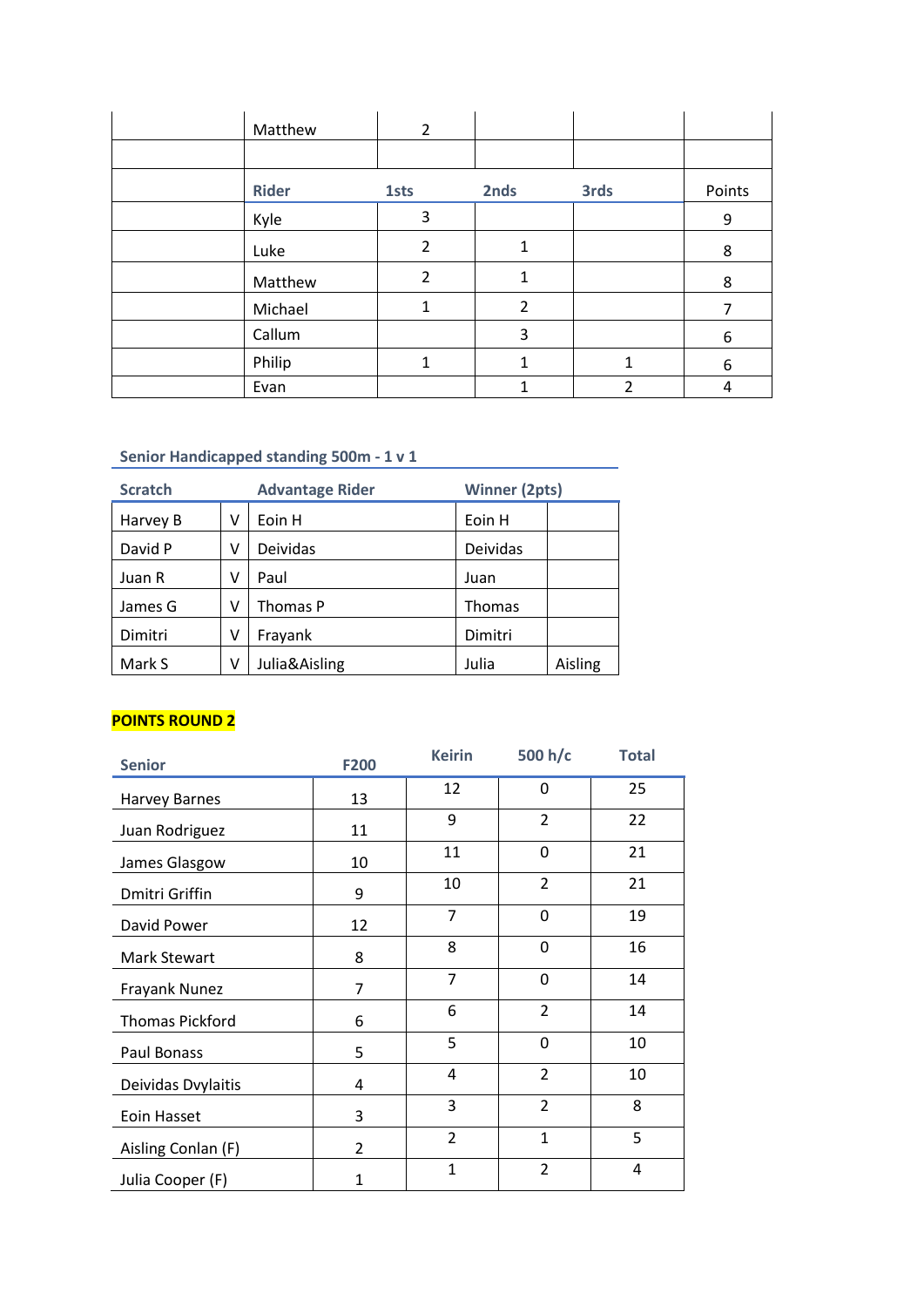| Matthew      | 2              |                |      |        |
|--------------|----------------|----------------|------|--------|
|              |                |                |      |        |
| <b>Rider</b> | <b>1sts</b>    | 2nds           | 3rds | Points |
| Kyle         | 3              |                |      | 9      |
| Luke         | $\overline{2}$ | $\mathbf{1}$   |      | 8      |
| Matthew      | 2              | $\mathbf{1}$   |      | 8      |
| Michael      | 1              | $\overline{2}$ |      | 7      |
| Callum       |                | 3              |      | 6      |
| Philip       | 1              | 1              | 1    | 6      |
| Evan         |                | 1              | 2    | 4      |

## **Senior Handicapped standing 500m - 1 v 1**

| <b>Scratch</b> |   | <b>Advantage Rider</b> | <b>Winner (2pts)</b> |         |
|----------------|---|------------------------|----------------------|---------|
| Harvey B       | ν | Eoin H                 | Eoin H               |         |
| David P        | ν | Deividas               | Deividas             |         |
| Juan R         | ν | Paul                   | Juan                 |         |
| James G        | ν | Thomas P               | Thomas               |         |
| Dimitri        | ν | Frayank                | Dimitri              |         |
| Mark S         | ٧ | Julia&Aisling          | Julia                | Aisling |

#### **POINTS ROUND 2**

| <b>Senior</b>          | <b>F200</b>    | <b>Keirin</b>  | 500 h/c        | <b>Total</b> |
|------------------------|----------------|----------------|----------------|--------------|
| <b>Harvey Barnes</b>   | 13             | 12             | 0              | 25           |
| Juan Rodriguez         | 11             | 9              | $\overline{2}$ | 22           |
| James Glasgow          | 10             | 11             | $\mathbf 0$    | 21           |
| Dmitri Griffin         | 9              | 10             | $\overline{2}$ | 21           |
| David Power            | 12             | 7              | 0              | 19           |
| Mark Stewart           | 8              | 8              | 0              | 16           |
| Frayank Nunez          | 7              | $\overline{7}$ | $\Omega$       | 14           |
| <b>Thomas Pickford</b> | 6              | 6              | $\overline{2}$ | 14           |
| Paul Bonass            | 5              | 5              | $\mathbf 0$    | 10           |
| Deividas Dvylaitis     | 4              | 4              | $\overline{2}$ | 10           |
| <b>Eoin Hasset</b>     | 3              | 3              | $\overline{2}$ | 8            |
| Aisling Conlan (F)     | $\overline{2}$ | $\overline{2}$ | $\mathbf{1}$   | 5            |
| Julia Cooper (F)       | $\mathbf{1}$   | $\mathbf{1}$   | $\overline{2}$ | 4            |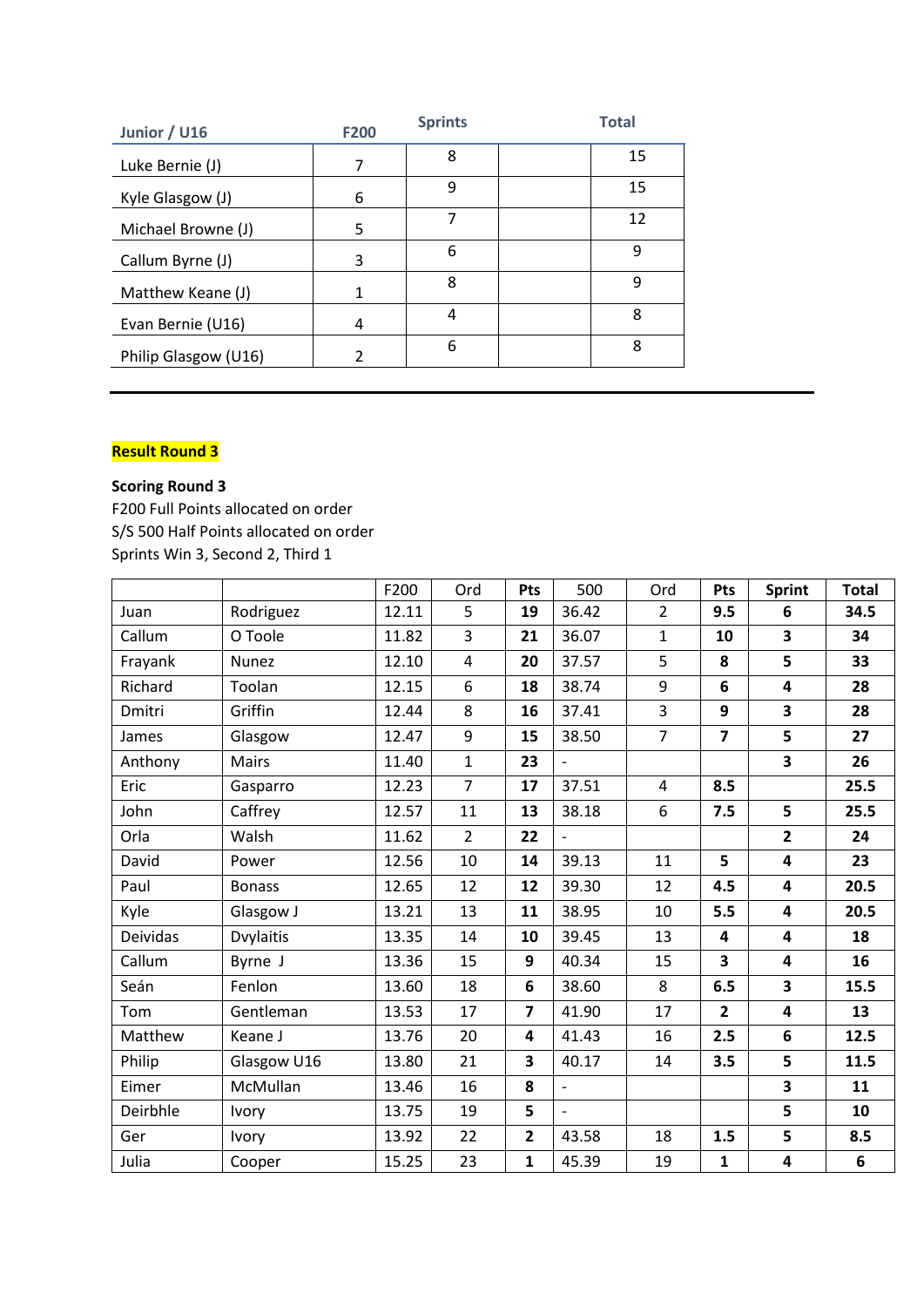| Junior / U16         | <b>F200</b>              | <b>Sprints</b> | <b>Total</b> |
|----------------------|--------------------------|----------------|--------------|
| Luke Bernie (J)      | 7                        | 8              | 15           |
| Kyle Glasgow (J)     | 6                        | 9              | 15           |
| Michael Browne (J)   | 5                        | 7              | 12           |
| Callum Byrne (J)     | 3                        | 6              | 9            |
| Matthew Keane (J)    | 1                        | 8              | 9            |
| Evan Bernie (U16)    | 4                        | 4              | 8            |
| Philip Glasgow (U16) | $\overline{\phantom{a}}$ | 6              | 8            |

## **Result Round 3**

## **Scoring Round 3**

F200 Full Points allocated on order S/S 500 Half Points allocated on order Sprints Win 3, Second 2, Third 1

|                 |                  | F200  | Ord            | Pts                     | 500                      | Ord            | Pts                     | <b>Sprint</b>           | <b>Total</b> |
|-----------------|------------------|-------|----------------|-------------------------|--------------------------|----------------|-------------------------|-------------------------|--------------|
| Juan            | Rodriguez        | 12.11 | 5              | 19                      | 36.42                    | $\overline{2}$ | 9.5                     | 6                       | 34.5         |
| Callum          | O Toole          | 11.82 | 3              | 21                      | 36.07                    | $\mathbf{1}$   | 10                      | $\overline{\mathbf{3}}$ | 34           |
| Frayank         | Nunez            | 12.10 | 4              | 20                      | 37.57                    | 5              | 8                       | 5                       | 33           |
| Richard         | Toolan           | 12.15 | 6              | 18                      | 38.74                    | 9              | $6\phantom{1}6$         | 4                       | 28           |
| Dmitri          | Griffin          | 12.44 | 8              | 16                      | 37.41                    | 3              | 9                       | 3                       | 28           |
| James           | Glasgow          | 12.47 | 9              | 15                      | 38.50                    | $\overline{7}$ | $\overline{\mathbf{z}}$ | 5                       | 27           |
| Anthony         | Mairs            | 11.40 | $\mathbf{1}$   | 23                      |                          |                |                         | 3                       | 26           |
| Eric            | Gasparro         | 12.23 | $\overline{7}$ | 17                      | 37.51                    | 4              | 8.5                     |                         | 25.5         |
| John            | Caffrey          | 12.57 | 11             | 13                      | 38.18                    | 6              | 7.5                     | 5                       | 25.5         |
| Orla            | Walsh            | 11.62 | $\overline{2}$ | 22                      | $\overline{\phantom{0}}$ |                |                         | $\overline{2}$          | 24           |
| David           | Power            | 12.56 | 10             | 14                      | 39.13                    | 11             | 5                       | 4                       | 23           |
| Paul            | <b>Bonass</b>    | 12.65 | 12             | 12                      | 39.30                    | 12             | 4.5                     | $\overline{\mathbf{4}}$ | 20.5         |
| Kyle            | Glasgow J        | 13.21 | 13             | 11                      | 38.95                    | 10             | 5.5                     | $\overline{\mathbf{4}}$ | 20.5         |
| <b>Deividas</b> | <b>Dvylaitis</b> | 13.35 | 14             | 10                      | 39.45                    | 13             | 4                       | $\overline{\mathbf{4}}$ | 18           |
| Callum          | Byrne J          | 13.36 | 15             | 9                       | 40.34                    | 15             | 3                       | $\overline{\mathbf{4}}$ | 16           |
| Seán            | Fenlon           | 13.60 | 18             | 6                       | 38.60                    | 8              | 6.5                     | $\overline{\mathbf{3}}$ | 15.5         |
| Tom             | Gentleman        | 13.53 | 17             | $\overline{\mathbf{z}}$ | 41.90                    | 17             | $\overline{2}$          | 4                       | 13           |
| Matthew         | Keane J          | 13.76 | 20             | 4                       | 41.43                    | 16             | 2.5                     | 6                       | 12.5         |
| Philip          | Glasgow U16      | 13.80 | 21             | $\overline{\mathbf{3}}$ | 40.17                    | 14             | 3.5                     | 5                       | 11.5         |
| Eimer           | McMullan         | 13.46 | 16             | 8                       | $\overline{\phantom{0}}$ |                |                         | $\overline{\mathbf{3}}$ | 11           |
| Deirbhle        | <b>Ivory</b>     | 13.75 | 19             | 5                       | $\overline{a}$           |                |                         | 5                       | 10           |
| Ger             | <b>Ivory</b>     | 13.92 | 22             | $\mathbf{2}$            | 43.58                    | 18             | 1.5                     | 5                       | 8.5          |
| Julia           | Cooper           | 15.25 | 23             | $\mathbf{1}$            | 45.39                    | 19             | $\mathbf{1}$            | 4                       | 6            |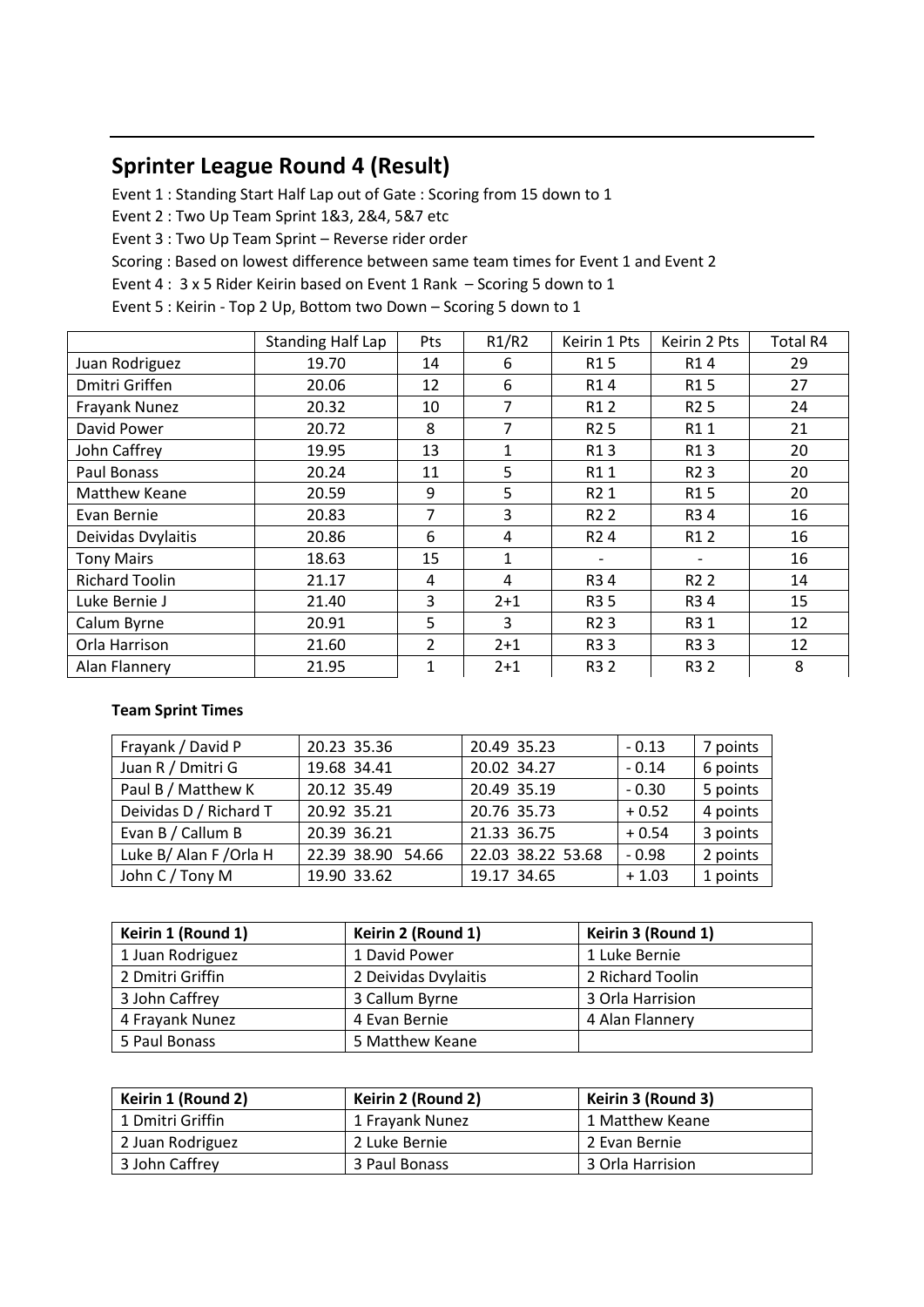# **Sprinter League Round 4 (Result)**

Event 1 : Standing Start Half Lap out of Gate : Scoring from 15 down to 1

Event 2 : Two Up Team Sprint 1&3, 2&4, 5&7 etc

Event 3 : Two Up Team Sprint – Reverse rider order

Scoring : Based on lowest difference between same team times for Event 1 and Event 2

Event 4 : 3 x 5 Rider Keirin based on Event 1 Rank – Scoring 5 down to 1

Event 5 : Keirin - Top 2 Up, Bottom two Down – Scoring 5 down to 1

|                       | <b>Standing Half Lap</b> | Pts            | R1/R2        | Keirin 1 Pts     | Keirin 2 Pts                 | Total R4 |
|-----------------------|--------------------------|----------------|--------------|------------------|------------------------------|----------|
| Juan Rodriguez        | 19.70                    | 14             | 6            | R <sub>1</sub> 5 | R14                          | 29       |
| Dmitri Griffen        | 20.06                    | 12             | 6            | R14              | R <sub>15</sub>              | 27       |
| Frayank Nunez         | 20.32                    | 10             | 7            | R <sub>1</sub> 2 | R <sub>2</sub> 5             | 24       |
| David Power           | 20.72                    | 8              | 7            | R <sub>2</sub> 5 | R11                          | 21       |
| John Caffrey          | 19.95                    | 13             | $\mathbf{1}$ | R13              | R13                          | 20       |
| Paul Bonass           | 20.24                    | 11             | 5            | R11              | R <sub>2</sub> 3             | 20       |
| Matthew Keane         | 20.59                    | 9              | 5            | R2 1             | R15                          | 20       |
| Evan Bernie           | 20.83                    | 7              | 3            | R <sub>2</sub> 2 | R34                          | 16       |
| Deividas Dvylaitis    | 20.86                    | 6              | 4            | R <sub>2</sub> 4 | R1 2                         | 16       |
| <b>Tony Mairs</b>     | 18.63                    | 15             | 1            |                  | $\qquad \qquad \blacksquare$ | 16       |
| <b>Richard Toolin</b> | 21.17                    | 4              | 4            | R34              | R <sub>2</sub> 2             | 14       |
| Luke Bernie J         | 21.40                    | 3              | $2 + 1$      | R3 5             | R34                          | 15       |
| Calum Byrne           | 20.91                    | 5              | 3            | R <sub>2</sub> 3 | R3 1                         | 12       |
| Orla Harrison         | 21.60                    | $\overline{2}$ | $2 + 1$      | R33              | R33                          | 12       |
| Alan Flannery         | 21.95                    | $\mathbf{1}$   | $2 + 1$      | R3 2             | R3 2                         | 8        |

#### **Team Sprint Times**

| Frayank / David P      | 20.23 35.36       | 20.49 35.23       | $-0.13$ | 7 points |
|------------------------|-------------------|-------------------|---------|----------|
| Juan R / Dmitri G      | 19.68 34.41       | 20.02 34.27       | $-0.14$ | 6 points |
| Paul B / Matthew K     | 20.12 35.49       | 20.49 35.19       | $-0.30$ | 5 points |
| Deividas D / Richard T | 20.92 35.21       | 20.76 35.73       | $+0.52$ | 4 points |
| Evan B / Callum B      | 20.39 36.21       | 21.33 36.75       | $+0.54$ | 3 points |
| Luke B/ Alan F/Orla H  | 22.39 38.90 54.66 | 22.03 38.22 53.68 | $-0.98$ | 2 points |
| John C / Tony M        | 19.90 33.62       | 19.17 34.65       | $+1.03$ | 1 points |

| Keirin 1 (Round 1) | Keirin 2 (Round 1)   | Keirin 3 (Round 1) |
|--------------------|----------------------|--------------------|
| 1 Juan Rodriguez   | 1 David Power        | 1 Luke Bernie      |
| 2 Dmitri Griffin   | 2 Deividas Dvylaitis | 2 Richard Toolin   |
| 3 John Caffrey     | 3 Callum Byrne       | 3 Orla Harrision   |
| 4 Frayank Nunez    | 4 Evan Bernie        | 4 Alan Flannery    |
| 5 Paul Bonass      | 5 Matthew Keane      |                    |

| Keirin 1 (Round 2) | Keirin 2 (Round 2) | Keirin 3 (Round 3) |
|--------------------|--------------------|--------------------|
| 1 Dmitri Griffin   | 1 Frayank Nunez    | 1 Matthew Keane    |
| 2 Juan Rodriguez   | 2 Luke Bernie      | 2 Evan Bernie      |
| 3 John Caffrey     | 3 Paul Bonass      | 3 Orla Harrision   |